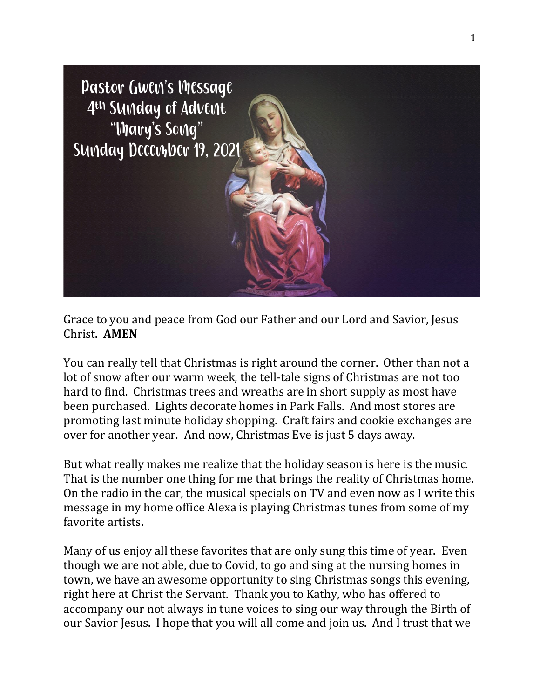

Grace to you and peace from God our Father and our Lord and Savior, Jesus Christ. **AMEN**

You can really tell that Christmas is right around the corner. Other than not a lot of snow after our warm week, the tell-tale signs of Christmas are not too hard to find. Christmas trees and wreaths are in short supply as most have been purchased. Lights decorate homes in Park Falls. And most stores are promoting last minute holiday shopping. Craft fairs and cookie exchanges are over for another year. And now, Christmas Eve is just 5 days away.

But what really makes me realize that the holiday season is here is the music. That is the number one thing for me that brings the reality of Christmas home. On the radio in the car, the musical specials on TV and even now as I write this message in my home office Alexa is playing Christmas tunes from some of my favorite artists.

Many of us enjoy all these favorites that are only sung this time of year. Even though we are not able, due to Covid, to go and sing at the nursing homes in town, we have an awesome opportunity to sing Christmas songs this evening, right here at Christ the Servant. Thank you to Kathy, who has offered to accompany our not always in tune voices to sing our way through the Birth of our Savior Jesus. I hope that you will all come and join us. And I trust that we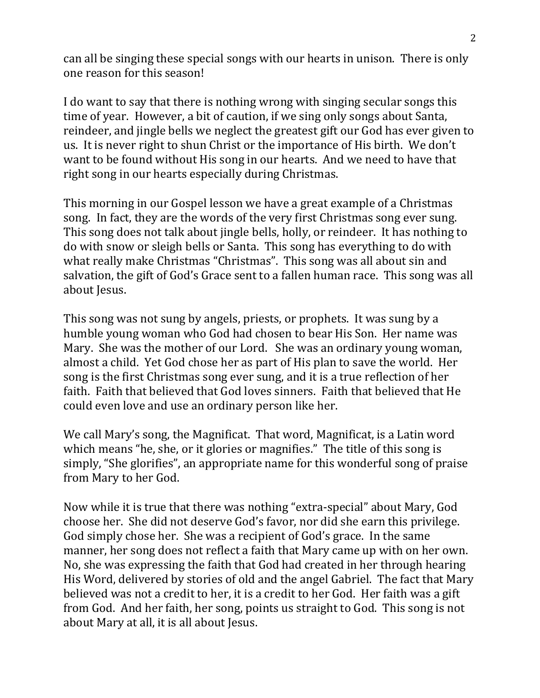can all be singing these special songs with our hearts in unison. There is only one reason for this season!

I do want to say that there is nothing wrong with singing secular songs this time of year. However, a bit of caution, if we sing only songs about Santa, reindeer, and jingle bells we neglect the greatest gift our God has ever given to us. It is never right to shun Christ or the importance of His birth. We don't want to be found without His song in our hearts. And we need to have that right song in our hearts especially during Christmas.

This morning in our Gospel lesson we have a great example of a Christmas song. In fact, they are the words of the very first Christmas song ever sung. This song does not talk about jingle bells, holly, or reindeer. It has nothing to do with snow or sleigh bells or Santa. This song has everything to do with what really make Christmas "Christmas". This song was all about sin and salvation, the gift of God's Grace sent to a fallen human race. This song was all about Jesus.

This song was not sung by angels, priests, or prophets. It was sung by a humble young woman who God had chosen to bear His Son. Her name was Mary. She was the mother of our Lord. She was an ordinary young woman, almost a child. Yet God chose her as part of His plan to save the world. Her song is the first Christmas song ever sung, and it is a true reflection of her faith. Faith that believed that God loves sinners. Faith that believed that He could even love and use an ordinary person like her.

We call Mary's song, the Magnificat. That word, Magnificat, is a Latin word which means "he, she, or it glories or magnifies." The title of this song is simply, "She glorifies", an appropriate name for this wonderful song of praise from Mary to her God.

Now while it is true that there was nothing "extra-special" about Mary, God choose her. She did not deserve God's favor, nor did she earn this privilege. God simply chose her. She was a recipient of God's grace. In the same manner, her song does not reflect a faith that Mary came up with on her own. No, she was expressing the faith that God had created in her through hearing His Word, delivered by stories of old and the angel Gabriel. The fact that Mary believed was not a credit to her, it is a credit to her God. Her faith was a gift from God. And her faith, her song, points us straight to God. This song is not about Mary at all, it is all about Jesus.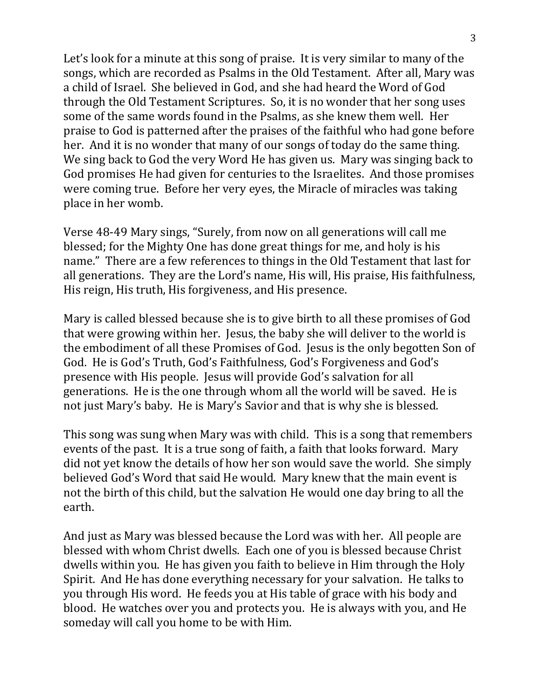Let's look for a minute at this song of praise. It is very similar to many of the songs, which are recorded as Psalms in the Old Testament. After all, Mary was a child of Israel. She believed in God, and she had heard the Word of God through the Old Testament Scriptures. So, it is no wonder that her song uses some of the same words found in the Psalms, as she knew them well. Her praise to God is patterned after the praises of the faithful who had gone before her. And it is no wonder that many of our songs of today do the same thing. We sing back to God the very Word He has given us. Mary was singing back to God promises He had given for centuries to the Israelites. And those promises were coming true. Before her very eyes, the Miracle of miracles was taking place in her womb.

Verse 48-49 Mary sings, "Surely, from now on all generations will call me blessed; for the Mighty One has done great things for me, and holy is his name." There are a few references to things in the Old Testament that last for all generations. They are the Lord's name, His will, His praise, His faithfulness, His reign, His truth, His forgiveness, and His presence.

Mary is called blessed because she is to give birth to all these promises of God that were growing within her. Jesus, the baby she will deliver to the world is the embodiment of all these Promises of God. Jesus is the only begotten Son of God. He is God's Truth, God's Faithfulness, God's Forgiveness and God's presence with His people. Jesus will provide God's salvation for all generations. He is the one through whom all the world will be saved. He is not just Mary's baby. He is Mary's Savior and that is why she is blessed.

This song was sung when Mary was with child. This is a song that remembers events of the past. It is a true song of faith, a faith that looks forward. Mary did not yet know the details of how her son would save the world. She simply believed God's Word that said He would. Mary knew that the main event is not the birth of this child, but the salvation He would one day bring to all the earth.

And just as Mary was blessed because the Lord was with her. All people are blessed with whom Christ dwells. Each one of you is blessed because Christ dwells within you. He has given you faith to believe in Him through the Holy Spirit. And He has done everything necessary for your salvation. He talks to you through His word. He feeds you at His table of grace with his body and blood. He watches over you and protects you. He is always with you, and He someday will call you home to be with Him.